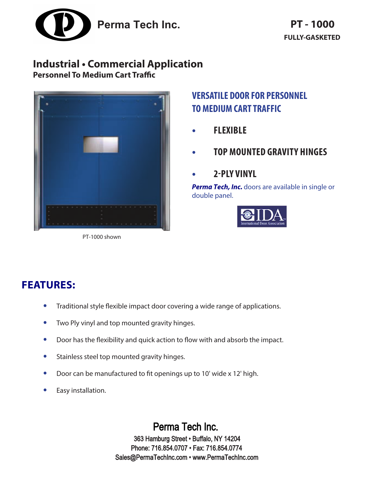

# **Industrial • Commercial Application**

**Personnel To Medium Cart Traffic**



PT-1000 shown

### **VERSATILE DOOR FOR PERSONNEL TO MEDIUM CART TRAFFIC**

- **• FLEXIBLE**
- **• TOP MOUNTED GRAVITY HINGES**
- **• 2-PLY VINYL**

**Perma Tech, Inc.** doors are available in single or double panel.



# **FEATURES:**

- **•** Traditional style flexible impact door covering a wide range of applications.
- **•** Two Ply vinyl and top mounted gravity hinges.
- **•** Door has the flexibility and quick action to flow with and absorb the impact.
- **•** Stainless steel top mounted gravity hinges.
- **•** Door can be manufactured to fit openings up to 10' wide x 12' high.
- **•** Easy installation.

Perma Tech Inc. 363 Hamburg Street • Buffalo, NY 14204 Phone: 716.854.0707 • Fax: 716.854.0774 Sales@PermaTechInc.com • www.PermaTechInc.com